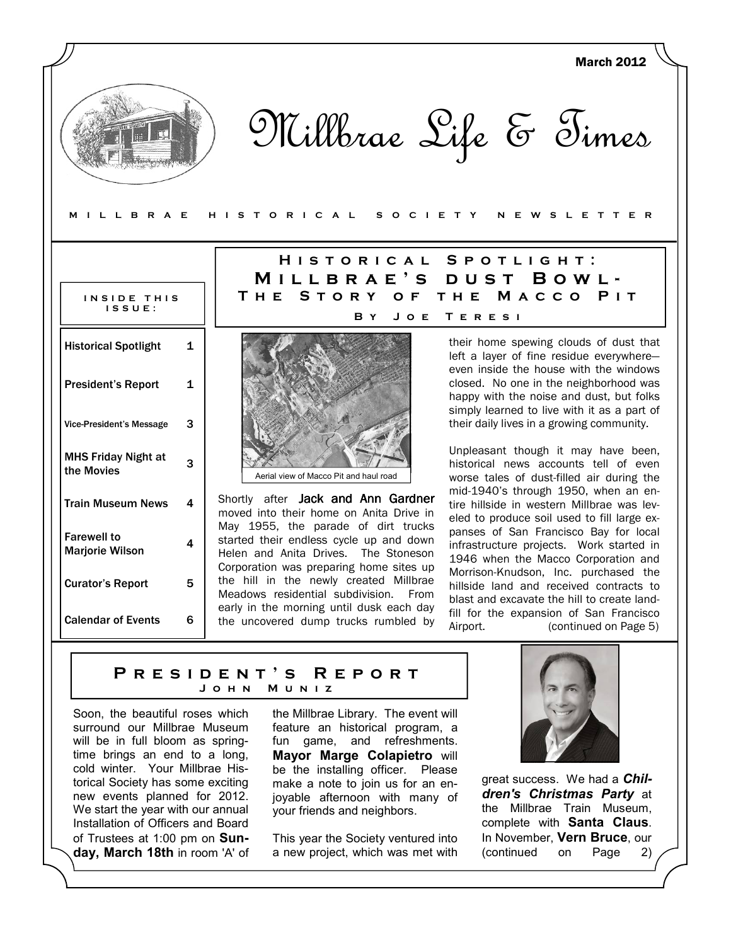|                                                          |                              |                                                                                                                                                                   | <b>March 2012</b>                                                                                                                                                                                                                                                 |  |  |
|----------------------------------------------------------|------------------------------|-------------------------------------------------------------------------------------------------------------------------------------------------------------------|-------------------------------------------------------------------------------------------------------------------------------------------------------------------------------------------------------------------------------------------------------------------|--|--|
| MILLBRAE                                                 |                              | ISTORICAL<br>O C I E T Y<br>н                                                                                                                                     | Millbrae Life & Times<br>SLETTER<br>w<br>Е                                                                                                                                                                                                                        |  |  |
|                                                          |                              | <b>HISTORICAL</b>                                                                                                                                                 |                                                                                                                                                                                                                                                                   |  |  |
| SPOTLIGHT:<br>MILLBRAE'S<br>BOWL-<br>DUST                |                              |                                                                                                                                                                   |                                                                                                                                                                                                                                                                   |  |  |
| INSIDE THIS<br>ISSUE:                                    |                              | THE STORY<br>O F                                                                                                                                                  | MACCO<br>THE<br>PIT                                                                                                                                                                                                                                               |  |  |
|                                                          |                              | B Y<br>JOE                                                                                                                                                        | TERESI                                                                                                                                                                                                                                                            |  |  |
| <b>Historical Spotlight</b><br><b>President's Report</b> | $\mathbf{1}$<br>$\mathbf{1}$ |                                                                                                                                                                   | their home spewing clouds of dust that<br>left a layer of fine residue everywhere-<br>even inside the house with the windows<br>closed. No one in the neighborhood was<br>happy with the noise and dust, but folks<br>simply learned to live with it as a part of |  |  |
| <b>Vice-President's Message</b>                          | 3                            |                                                                                                                                                                   | their daily lives in a growing community.                                                                                                                                                                                                                         |  |  |
| <b>MHS Friday Night at</b><br>the Movies                 | 3                            | Aerial view of Macco Pit and haul road                                                                                                                            | Unpleasant though it may have been,<br>historical news accounts tell of even<br>worse tales of dust-filled air during the                                                                                                                                         |  |  |
| <b>Train Museum News</b>                                 | 4                            | Shortly after Jack and Ann Gardner<br>moved into their home on Anita Drive in                                                                                     | mid-1940's through 1950, when an en-<br>tire hillside in western Millbrae was lev-<br>eled to produce soil used to fill large ex-                                                                                                                                 |  |  |
| <b>Farewell to</b><br><b>Marjorie Wilson</b>             | 4                            | May 1955, the parade of dirt trucks<br>started their endless cycle up and down<br>Helen and Anita Drives. The Stoneson<br>Corporation was preparing home sites up | panses of San Francisco Bay for local<br>infrastructure projects. Work started in<br>1946 when the Macco Corporation and                                                                                                                                          |  |  |
| <b>Curator's Report</b>                                  | 5                            | the hill in the newly created Millbrae<br>Meadows residential subdivision.<br>From<br>early in the morning until dusk each day                                    | Morrison-Knudson, Inc. purchased the<br>hillside land and received contracts to<br>blast and excavate the hill to create land-<br>fill for the expansion of San Francisco                                                                                         |  |  |
| <b>Calendar of Events</b>                                | 6                            | the uncovered dump trucks rumbled by                                                                                                                              | Airport.<br>(continued on Page 5)                                                                                                                                                                                                                                 |  |  |

### P R E S I D E N T ' S R E P O R T M U N I Z

Soon, the beautiful roses which surround our Millbrae Museum will be in full bloom as springtime brings an end to a long, cold winter. Your Millbrae Historical Society has some exciting new events planned for 2012. We start the year with our annual Installation of Officers and Board of Trustees at 1:00 pm on Sunday, March 18th in room 'A' of

the Millbrae Library. The event will feature an historical program, a fun game, and refreshments. Mayor Marge Colapietro will be the installing officer. Please make a note to join us for an enjoyable afternoon with many of your friends and neighbors.

This year the Society ventured into a new project, which was met with



great success. We had a Children's Christmas Party at the Millbrae Train Museum, complete with Santa Claus. In November, Vern Bruce, our (continued on Page 2)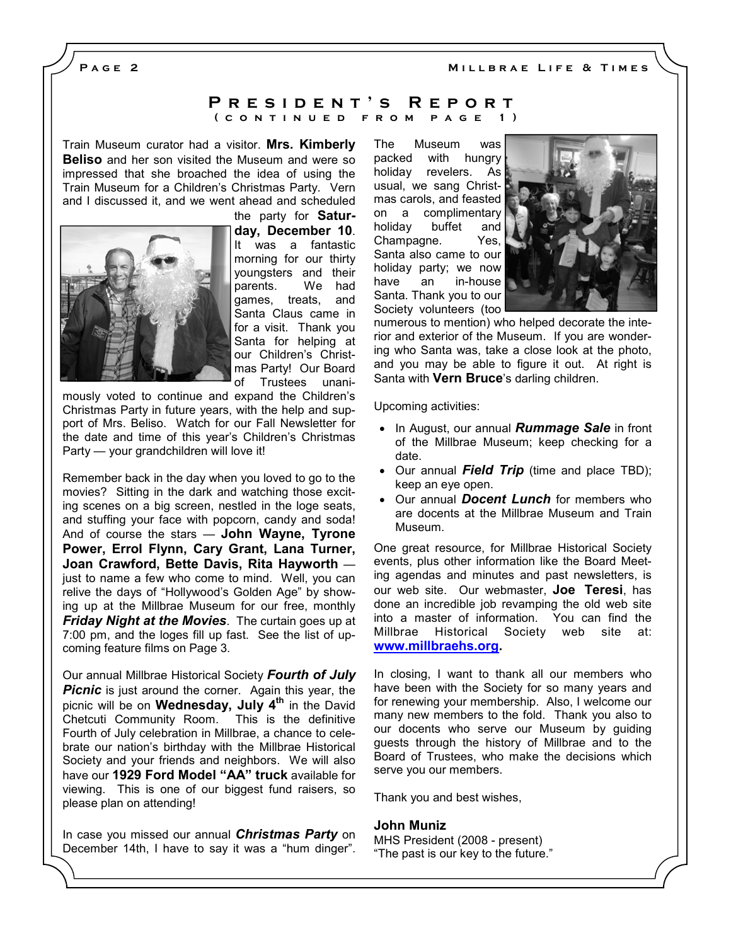MILLBRAE LIFE & TIMES

PAGE<sub>2</sub>

### P R E S I D E N T 'S R E P O R T ( CONTINUED FROM PAGE 1)

Train Museum curator had a visitor. Mrs. Kimberly **Beliso** and her son visited the Museum and were so impressed that she broached the idea of using the Train Museum for a Children's Christmas Party. Vern and I discussed it, and we went ahead and scheduled



the party for Saturday, December 10. It was a fantastic morning for our thirty youngsters and their parents. We had games, treats, and Santa Claus came in for a visit. Thank you Santa for helping at our Children's Christmas Party! Our Board of Trustees unani-

mously voted to continue and expand the Children's Christmas Party in future years, with the help and support of Mrs. Beliso. Watch for our Fall Newsletter for the date and time of this year's Children's Christmas Party — your grandchildren will love it!

Remember back in the day when you loved to go to the movies? Sitting in the dark and watching those exciting scenes on a big screen, nestled in the loge seats, and stuffing your face with popcorn, candy and soda! And of course the stars — John Wayne, Tyrone Power, Errol Flynn, Cary Grant, Lana Turner, Joan Crawford, Bette Davis, Rita Hayworth just to name a few who come to mind. Well, you can relive the days of "Hollywood's Golden Age" by showing up at the Millbrae Museum for our free, monthly **Friday Night at the Movies.** The curtain goes up at 7:00 pm, and the loges fill up fast. See the list of upcoming feature films on Page 3.

Our annual Millbrae Historical Society Fourth of July **Picnic** is just around the corner. Again this year, the picnic will be on **Wednesday, July 4<sup>th</sup> in the David Chetcuti Community Room.** This is the definitive Chetcuti Community Room. Fourth of July celebration in Millbrae, a chance to celebrate our nation's birthday with the Millbrae Historical Society and your friends and neighbors. We will also have our 1929 Ford Model "AA" truck available for viewing. This is one of our biggest fund raisers, so please plan on attending!

In case you missed our annual *Christmas Party* on December 14th, I have to say it was a "hum dinger".

The Museum was packed with hungry holiday revelers. As usual, we sang Christmas carols, and feasted on a complimentary holiday buffet and Champagne. Yes, Santa also came to our holiday party; we now have an in-house Santa. Thank you to our Society volunteers (too



numerous to mention) who helped decorate the interior and exterior of the Museum. If you are wondering who Santa was, take a close look at the photo, and you may be able to figure it out. At right is Santa with **Vern Bruce**'s darling children.

Upcoming activities:

- In August, our annual **Rummage Sale** in front of the Millbrae Museum; keep checking for a date.
- Our annual Field Trip (time and place TBD); keep an eye open.
- Our annual **Docent Lunch** for members who are docents at the Millbrae Museum and Train Museum.

One great resource, for Millbrae Historical Society events, plus other information like the Board Meeting agendas and minutes and past newsletters, is our web site. Our webmaster, Joe Teresi, has done an incredible job revamping the old web site into a master of information. You can find the Millbrae Historical Society web site at: www.millbraehs.org.

In closing, I want to thank all our members who have been with the Society for so many years and for renewing your membership. Also, I welcome our many new members to the fold. Thank you also to our docents who serve our Museum by guiding guests through the history of Millbrae and to the Board of Trustees, who make the decisions which serve you our members.

Thank you and best wishes,

#### John Muniz

MHS President (2008 - present) "The past is our key to the future."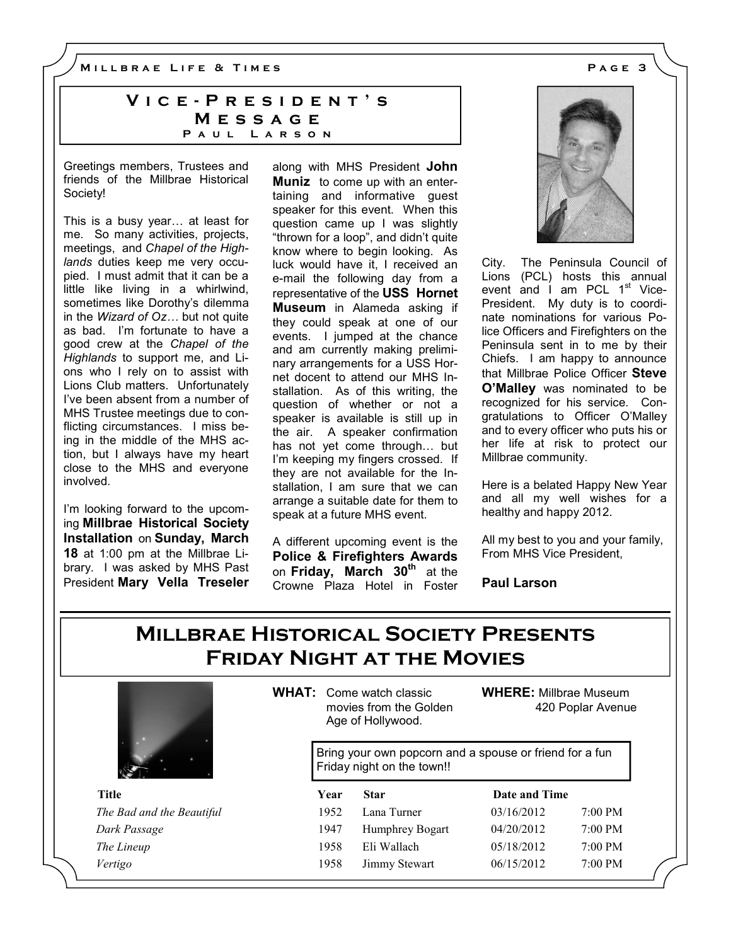M I L L B R A E L I F E & T I M E S A G E 3

## VICE - PRESIDENT'S **MESSAGE** PAUL LARSON

Greetings members, Trustees and friends of the Millbrae Historical Society!

This is a busy year... at least for me. So many activities, projects, meetings, and Chapel of the Highlands duties keep me very occupied. I must admit that it can be a little like living in a whirlwind, sometimes like Dorothy's dilemma in the *Wizard of Oz...* but not quite as bad. I'm fortunate to have a good crew at the Chapel of the Highlands to support me, and Lions who I rely on to assist with Lions Club matters. Unfortunately I've been absent from a number of MHS Trustee meetings due to conflicting circumstances. I miss being in the middle of the MHS action, but I always have my heart close to the MHS and everyone involved.

I'm looking forward to the upcoming Millbrae Historical Society Installation on Sunday, March 18 at 1:00 pm at the Millbrae Library. I was asked by MHS Past President Mary Vella Treseler along with MHS President John **Muniz** to come up with an entertaining and informative guest speaker for this event. When this question came up I was slightly "thrown for a loop", and didn't quite know where to begin looking. As luck would have it, I received an e-mail the following day from a representative of the USS Hornet Museum in Alameda asking if they could speak at one of our events. I jumped at the chance and am currently making preliminary arrangements for a USS Hornet docent to attend our MHS Installation. As of this writing, the question of whether or not a speaker is available is still up in the air. A speaker confirmation has not yet come through... but I'm keeping my fingers crossed. If they are not available for the Installation, I am sure that we can arrange a suitable date for them to speak at a future MHS event.

A different upcoming event is the Police & Firefighters Awards on Friday, March  $30<sup>th</sup>$  at the Crowne Plaza Hotel in Foster



City. The Peninsula Council of Lions (PCL) hosts this annual event and  $I$  am PCL  $1<sup>st</sup>$  Vice-President. My duty is to coordinate nominations for various Police Officers and Firefighters on the Peninsula sent in to me by their Chiefs. I am happy to announce that Millbrae Police Officer Steve O'Malley was nominated to be recognized for his service. Congratulations to Officer O'Malley and to every officer who puts his or her life at risk to protect our Millbrae community.

Here is a belated Happy New Year and all my well wishes for a healthy and happy 2012.

All my best to you and your family, From MHS Vice President,

Paul Larson

# Millbrae Historical Society Presents Friday Night at the Movies



WHAT: Come watch classic movies from the Golden Age of Hollywood.

WHERE: Millbrae Museum 420 Poplar Avenue

Bring your own popcorn and a spouse or friend for a fun Friday night on the town!!

| Title                     | Year | <b>Star</b>     | Date and Time |                   |
|---------------------------|------|-----------------|---------------|-------------------|
| The Bad and the Beautiful | 1952 | Lana Turner     | 03/16/2012    | $7:00$ PM         |
| Dark Passage              | 1947 | Humphrey Bogart | 04/20/2012    | $7:00 \text{ PM}$ |
| The Lineup                | 1958 | Eli Wallach     | 05/18/2012    | $7:00$ PM         |
| Vertigo                   | 1958 | Jimmy Stewart   | 06/15/2012    | $7:00$ PM         |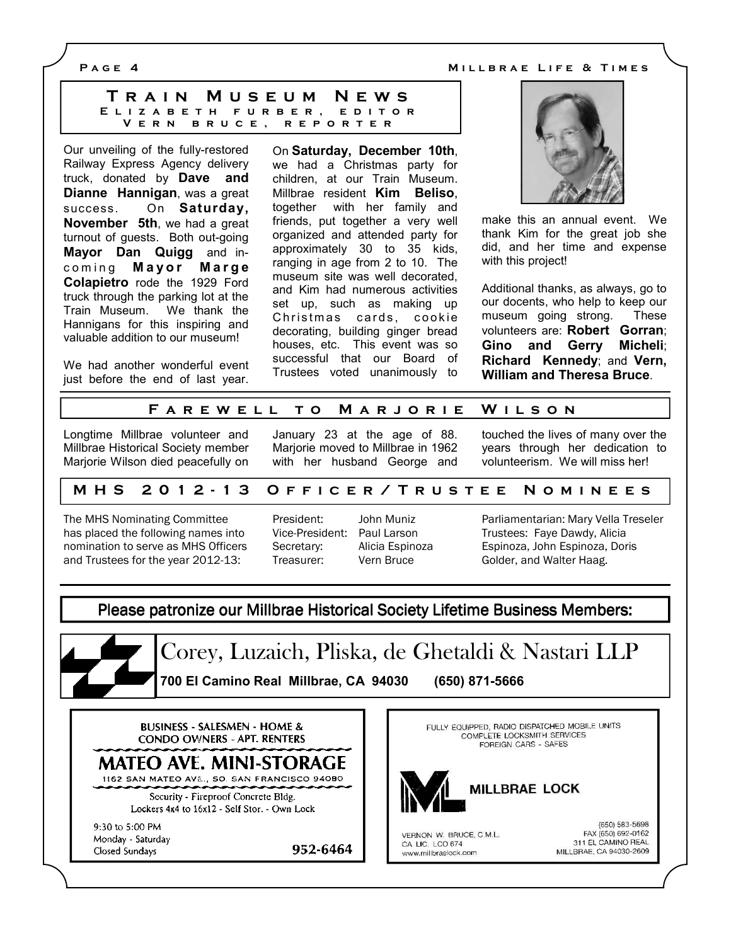P A G E 4 M i l and the MILLBRAE LIFE & TIMES

| TRAIN MUSEUM NEWS        |  |
|--------------------------|--|
| ELIZABETH FURBER, EDITOR |  |
| VERN BRUCE, REPORTER     |  |

Our unveiling of the fully-restored Railway Express Agency delivery truck, donated by Dave and Dianne Hannigan, was a great success. On Saturday, November 5th, we had a great turnout of guests. Both out-going Mayor Dan Quigg and incoming Mayor Marge Colapietro rode the 1929 Ford truck through the parking lot at the Train Museum. We thank the Hannigans for this inspiring and valuable addition to our museum!

We had another wonderful event just before the end of last year. On Saturday, December 10th, we had a Christmas party for children, at our Train Museum. Millbrae resident Kim Beliso, together with her family and friends, put together a very well organized and attended party for approximately 30 to 35 kids, ranging in age from 2 to 10. The museum site was well decorated, and Kim had numerous activities set up, such as making up Christmas cards, cookie decorating, building ginger bread houses, etc. This event was so successful that our Board of Trustees voted unanimously to



make this an annual event. We thank Kim for the great job she did, and her time and expense with this project!

Additional thanks, as always, go to our docents, who help to keep our museum going strong. These volunteers are: Robert Gorran; Gino and Gerry Micheli; Richard Kennedy; and Vern, William and Theresa Bruce.

#### FAREWELL TO MARJORIE WILSON

Longtime Millbrae volunteer and Millbrae Historical Society member Marjorie Wilson died peacefully on January 23 at the age of 88. Marjorie moved to Millbrae in 1962 with her husband George and touched the lives of many over the years through her dedication to volunteerism. We will miss her!

#### M H S 20 1 2 - 1 3 O F F I C E R / T R U S T E E N O M I N E E S

The MHS Nominating Committee has placed the following names into nomination to serve as MHS Officers and Trustees for the year 2012-13:

| President:      | JOI |
|-----------------|-----|
| Vice-President: | Pa  |
| Secretary:      | Ali |
| Treasurer:      | Ve  |

952-6464

President: John Muniz ul Larson icia Espinoza ern Bruce

Parliamentarian: Mary Vella Treseler Trustees: Faye Dawdy, Alicia Espinoza, John Espinoza, Doris Golder, and Walter Haag.

Please patronize our Millbrae Historical Society Lifetime Business Members:



Corey, Luzaich, Pliska, de Ghetaldi & Nastari LLP 700 El Camino Real Millbrae, CA 94030 (650) 871-5666

**BUSINESS - SALESMEN - HOME & CONDO OWNERS - APT. RENTERS** 

MATEO AVE. MINI-STORAGE

1162 SAN MATEO AVE., SO. SAN FRANCISCO 94080 Security - Fireproof Concrete Bldg.

Lockers 4x4 to 16x12 - Self Stor. - Own Lock

9:30 to 5:00 PM Monday - Saturday Closed Sundays

FULLY EQUIPPED, RADIO DISPATCHED MOBILE UNITS COMPLETE LOCKSMITH SERVICES FOREIGN CARS - SAFES



VERNON W. BRUCE, C.M.L. CA LIC. LCO 674 www.millbraelock.com

(650) 583-5698 FAX (650) 692-0162 311 EL CAMINO REAL MILLBRAE, CA 94030-2609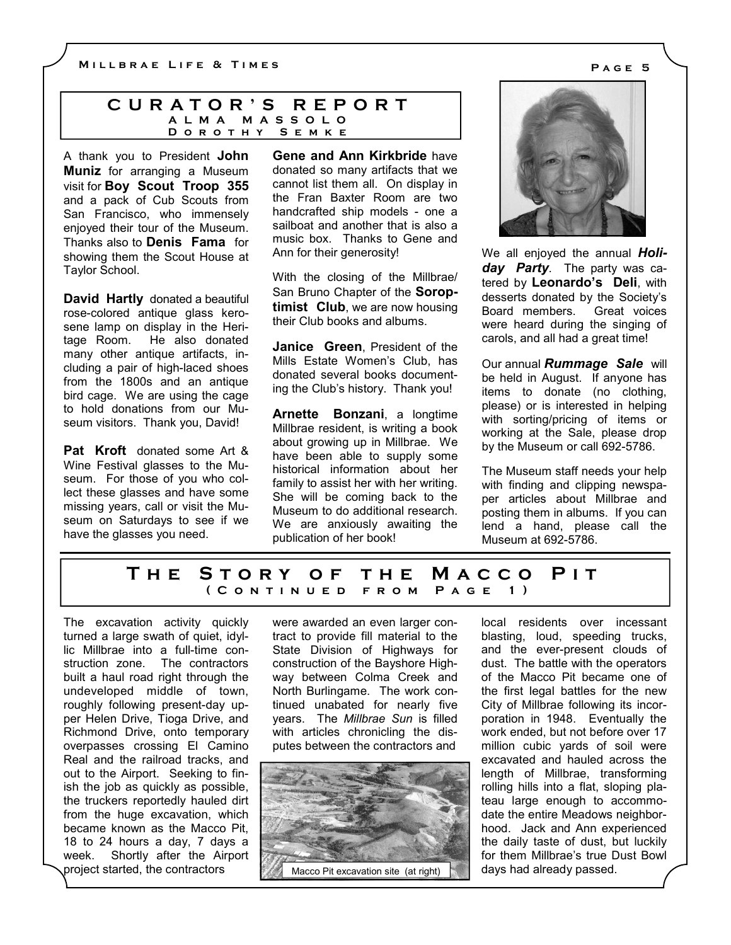#### C U R A T O R ' S R E P O R T A L M A M A S S O L O D O R O T H Y S E M K E

A thank you to President John **Muniz** for arranging a Museum visit for Boy Scout Troop 355 and a pack of Cub Scouts from San Francisco, who immensely enjoyed their tour of the Museum. Thanks also to **Denis Fama** for showing them the Scout House at Taylor School.

David Hartly donated a beautiful rose-colored antique glass kerosene lamp on display in the Heritage Room. He also donated many other antique artifacts, including a pair of high-laced shoes from the 1800s and an antique bird cage. We are using the cage to hold donations from our Museum visitors. Thank you, David!

Pat Kroft donated some Art & Wine Festival glasses to the Museum. For those of you who collect these glasses and have some missing years, call or visit the Museum on Saturdays to see if we have the glasses you need.

Gene and Ann Kirkbride have donated so many artifacts that we cannot list them all. On display in the Fran Baxter Room are two handcrafted ship models - one a sailboat and another that is also a music box. Thanks to Gene and Ann for their generosity!

With the closing of the Millbrae/ San Bruno Chapter of the **Sorop**timist Club, we are now housing their Club books and albums.

Janice Green, President of the Mills Estate Women's Club, has donated several books documenting the Club's history. Thank you!

Arnette Bonzani, a longtime Millbrae resident, is writing a book about growing up in Millbrae. We have been able to supply some historical information about her family to assist her with her writing. She will be coming back to the Museum to do additional research. We are anxiously awaiting the publication of her book!

We all enjoyed the annual Holi-

day Party. The party was catered by Leonardo's Deli, with desserts donated by the Society's Board members. Great voices were heard during the singing of carols, and all had a great time!

Our annual **Rummage Sale** will be held in August. If anyone has items to donate (no clothing, please) or is interested in helping with sorting/pricing of items or working at the Sale, please drop by the Museum or call 692-5786.

The Museum staff needs your help with finding and clipping newspaper articles about Millbrae and posting them in albums. If you can lend a hand, please call the Museum at 692-5786.

## THE STORY OF THE MACCO PIT ( C o n t i n u e d f r o m P a g e 1 )

The excavation activity quickly turned a large swath of quiet, idyllic Millbrae into a full-time construction zone. The contractors built a haul road right through the undeveloped middle of town, roughly following present-day upper Helen Drive, Tioga Drive, and Richmond Drive, onto temporary overpasses crossing El Camino Real and the railroad tracks, and out to the Airport. Seeking to finish the job as quickly as possible, the truckers reportedly hauled dirt from the huge excavation, which became known as the Macco Pit, 18 to 24 hours a day, 7 days a week. Shortly after the Airport project started, the contractors

were awarded an even larger contract to provide fill material to the State Division of Highways for construction of the Bayshore Highway between Colma Creek and North Burlingame. The work continued unabated for nearly five years. The Millbrae Sun is filled with articles chronicling the disputes between the contractors and



local residents over incessant blasting, loud, speeding trucks, and the ever-present clouds of dust. The battle with the operators of the Macco Pit became one of the first legal battles for the new City of Millbrae following its incorporation in 1948. Eventually the work ended, but not before over 17 million cubic yards of soil were excavated and hauled across the length of Millbrae, transforming rolling hills into a flat, sloping plateau large enough to accommodate the entire Meadows neighborhood. Jack and Ann experienced the daily taste of dust, but luckily for them Millbrae's true Dust Bowl days had already passed.